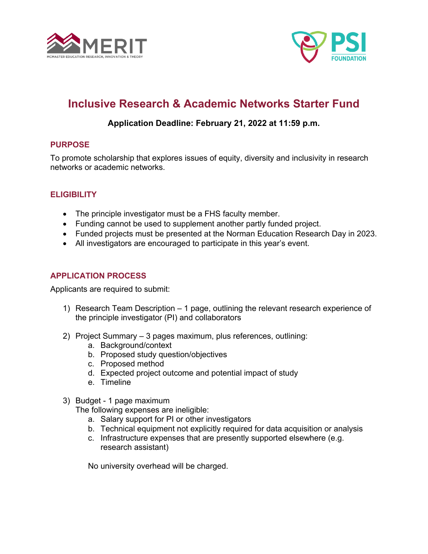



# **Inclusive Research & Academic Networks Starter Fund**

## **Application Deadline: February 21, 2022 at 11:59 p.m.**

## **PURPOSE**

To promote scholarship that explores issues of equity, diversity and inclusivity in research networks or academic networks.

## **ELIGIBILITY**

- The principle investigator must be a FHS faculty member.
- Funding cannot be used to supplement another partly funded project.
- Funded projects must be presented at the Norman Education Research Day in 2023.
- All investigators are encouraged to participate in this year's event.

## **APPLICATION PROCESS**

Applicants are required to submit:

- 1) Research Team Description 1 page, outlining the relevant research experience of the principle investigator (PI) and collaborators
- 2) Project Summary 3 pages maximum, plus references, outlining:
	- a. Background/context
	- b. Proposed study question/objectives
	- c. Proposed method
	- d. Expected project outcome and potential impact of study
	- e. Timeline
- 3) Budget 1 page maximum

The following expenses are ineligible:

- a. Salary support for PI or other investigators
- b. Technical equipment not explicitly required for data acquisition or analysis
- c. Infrastructure expenses that are presently supported elsewhere (e.g. research assistant)

No university overhead will be charged.